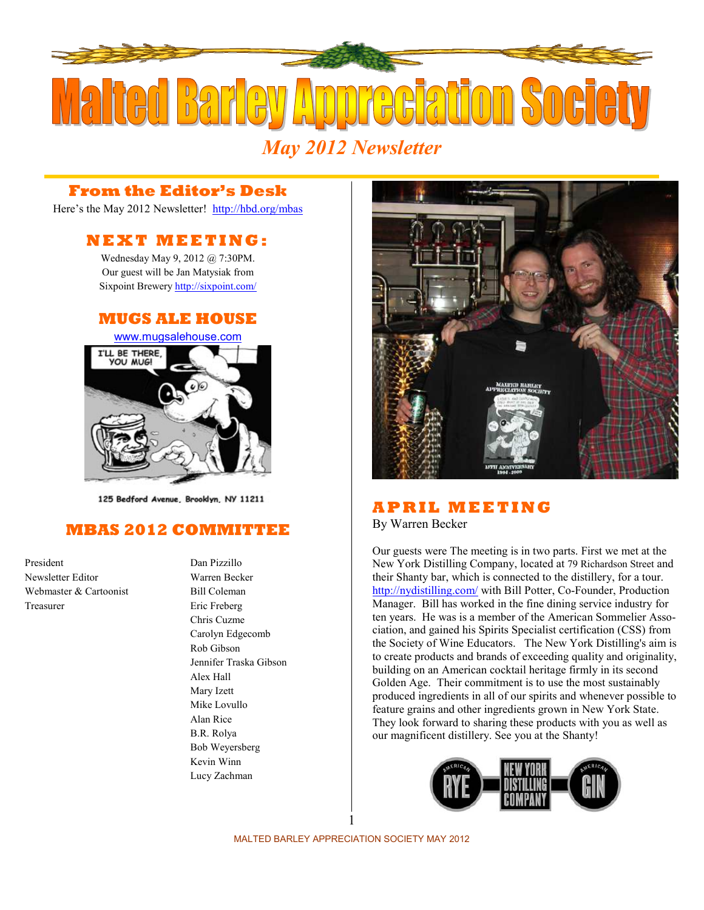

### **From the Editor's Desk**

Here's the May 2012 Newsletter! <http://hbd.org/mbas>

# **N E X T M E E T I N G :**

Wednesday May 9, 2012 @ 7:30PM. Our guest will be Jan Matysiak from Sixpoint Brewery <http://sixpoint.com/>

#### **MUGS ALE HOUSE**



125 Bedford Avenue, Brooklyn, NY 11211

# **MBAS 2012 COMMITTEE**

President Dan Pizzillo Newsletter Editor Warren Becker Webmaster  $\&$  Cartoonist Bill Coleman Treasurer Eric Freberg

Chris Cuzme Carolyn Edgecomb Rob Gibson Jennifer Traska Gibson Alex Hall Mary Izett Mike Lovullo Alan Rice B.R. Rolya Bob Weyersberg Kevin Winn Lucy Zachman



### **A P R I L M E E T I N G**

By Warren Becker

Our guests were The meeting is in two parts. First we met at the New York Distilling Company, located at 79 Richardson Street and their Shanty bar, which is connected to the distillery, for a tour. [http://nydistilling.com](http://nydistilling.com/)/ with Bill Potter, Co-Founder, Production Manager. Bill has worked in the fine dining service industry for ten years. He was is a member of the American Sommelier Association, and gained his Spirits Specialist certification (CSS) from the Society of Wine Educators. The New York Distilling's aim is to create products and brands of exceeding quality and originality, building on an American cocktail heritage firmly in its second Golden Age. Their commitment is to use the most sustainably produced ingredients in all of our spirits and whenever possible to feature grains and other ingredients grown in New York State. They look forward to sharing these products with you as well as our magnificent distillery. See you at the Shanty!

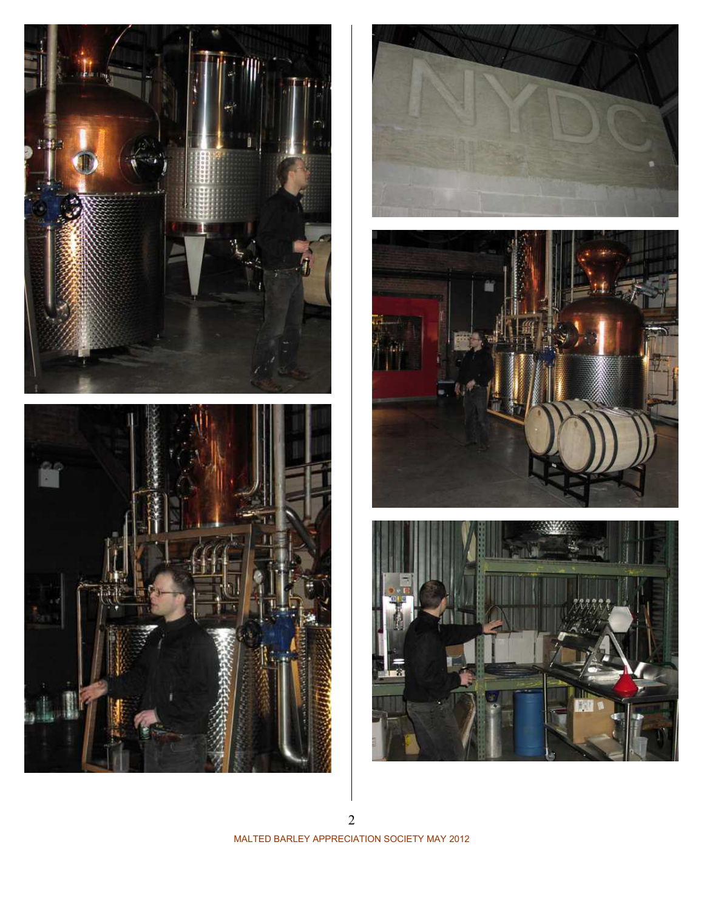







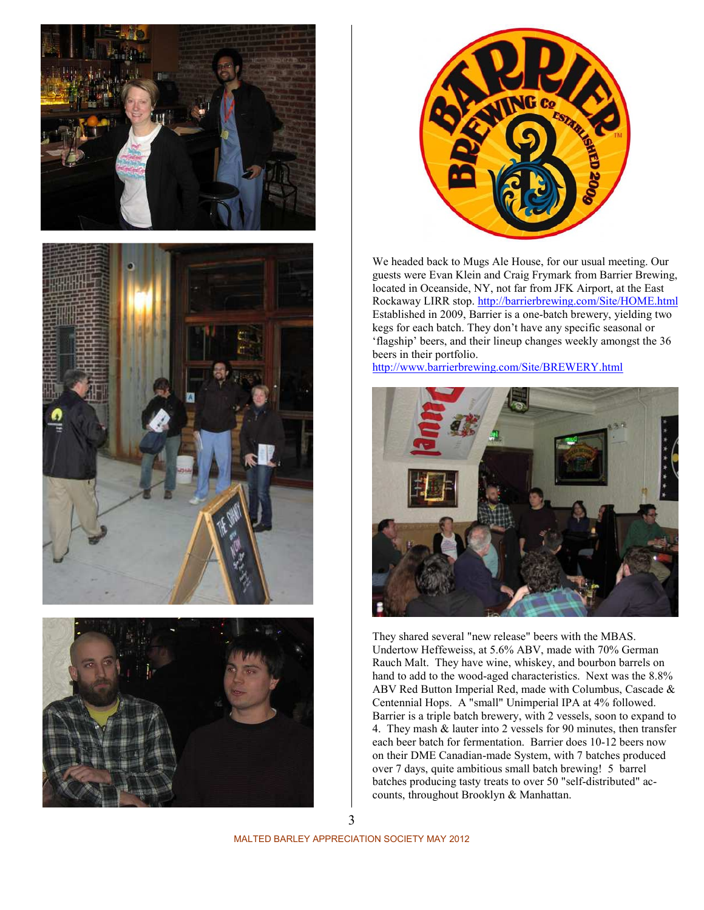



We headed back to Mugs Ale House, for our usual meeting. Our guests were Evan Klein and Craig Frymark from Barrier Brewing, located in Oceanside, NY, not far from JFK Airport, at the East Rockaway LIRR stop. [http://barrierbrewing.com/Site/HOME.htm](http://barrierbrewing.com/Site/HOME.html)l Established in 2009, Barrier is a one-batch brewery, yielding two kegs for each batch. They don't have any specific seasonal or 'flagship' beers, and their lineup changes weekly amongst the 36 beers in their portfolio.

[http://www.barrierbrewing.com/Site/BREWERY.htm](http://www.barrierbrewing.com/Site/BREWERY.html)l



They shared several "new release" beers with the MBAS. Undertow Heffeweiss, at 5.6% ABV, made with 70% German Rauch Malt. They have wine, whiskey, and bourbon barrels on hand to add to the wood-aged characteristics. Next was the 8.8% ABV Red Button Imperial Red, made with Columbus, Cascade & Centennial Hops. A "small" Unimperial IPA at 4% followed. Barrier is a triple batch brewery, with 2 vessels, soon to expand to 4. They mash & lauter into 2 vessels for 90 minutes, then transfer each beer batch for fermentation. Barrier does 10-12 beers now on their DME Canadian-made System, with 7 batches produced over 7 days, quite ambitious small batch brewing! 5 barrel batches producing tasty treats to over 50 "self-distributed" accounts, throughout Brooklyn & Manhattan.